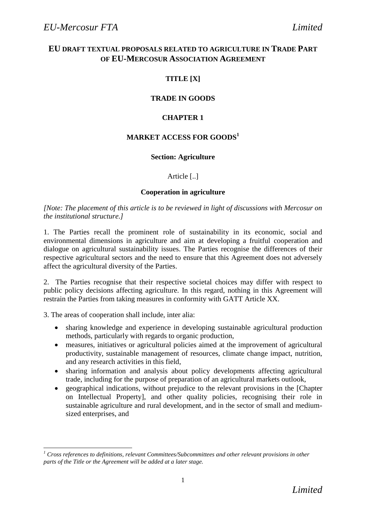# **EU DRAFT TEXTUAL PROPOSALS RELATED TO AGRICULTURE IN TRADE PART OF EU-MERCOSUR ASSOCIATION AGREEMENT**

# **TITLE [X]**

# **TRADE IN GOODS**

# **CHAPTER 1**

# **MARKET ACCESS FOR GOODS<sup>1</sup>**

### **Section: Agriculture**

### Article [..]

### **Cooperation in agriculture**

*[Note: The placement of this article is to be reviewed in light of discussions with Mercosur on the institutional structure.]*

1. The Parties recall the prominent role of sustainability in its economic, social and environmental dimensions in agriculture and aim at developing a fruitful cooperation and dialogue on agricultural sustainability issues. The Parties recognise the differences of their respective agricultural sectors and the need to ensure that this Agreement does not adversely affect the agricultural diversity of the Parties.

2. The Parties recognise that their respective societal choices may differ with respect to public policy decisions affecting agriculture. In this regard, nothing in this Agreement will restrain the Parties from taking measures in conformity with GATT Article XX.

3. The areas of cooperation shall include, inter alia:

- sharing knowledge and experience in developing sustainable agricultural production methods, particularly with regards to organic production,
- measures, initiatives or agricultural policies aimed at the improvement of agricultural productivity, sustainable management of resources, climate change impact, nutrition, and any research activities in this field,
- sharing information and analysis about policy developments affecting agricultural trade, including for the purpose of preparation of an agricultural markets outlook,
- geographical indications, without prejudice to the relevant provisions in the [Chapter on Intellectual Property], and other quality policies, recognising their role in sustainable agriculture and rural development, and in the sector of small and mediumsized enterprises, and

 $\overline{a}$ *<sup>1</sup> Cross references to definitions, relevant Committees/Subcommittees and other relevant provisions in other parts of the Title or the Agreement will be added at a later stage.*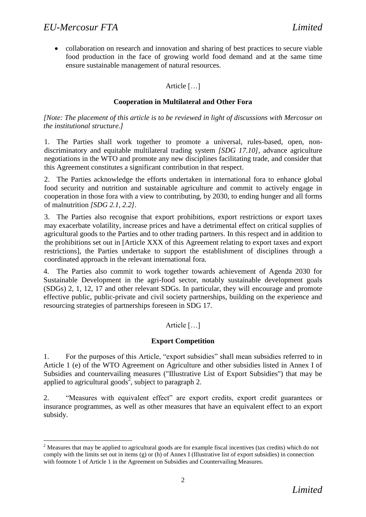l

• collaboration on research and innovation and sharing of best practices to secure viable food production in the face of growing world food demand and at the same time ensure sustainable management of natural resources.

## Article […]

### **Cooperation in Multilateral and Other Fora**

*[Note: The placement of this article is to be reviewed in light of discussions with Mercosur on the institutional structure.]*

1. The Parties shall work together to promote a universal, rules-based, open, nondiscriminatory and equitable multilateral trading system *[SDG 17.10],* advance agriculture negotiations in the WTO and promote any new disciplines facilitating trade, and consider that this Agreement constitutes a significant contribution in that respect.

2. The Parties acknowledge the efforts undertaken in international fora to enhance global food security and nutrition and sustainable agriculture and commit to actively engage in cooperation in those fora with a view to contributing, by 2030, to ending hunger and all forms of malnutrition *[SDG 2.1, 2.2]*.

3. The Parties also recognise that export prohibitions, export restrictions or export taxes may exacerbate volatility, increase prices and have a detrimental effect on critical supplies of agricultural goods to the Parties and to other trading partners. In this respect and in addition to the prohibitions set out in [Article XXX of this Agreement relating to export taxes and export restrictions], the Parties undertake to support the establishment of disciplines through a coordinated approach in the relevant international fora.

4. The Parties also commit to work together towards achievement of Agenda 2030 for Sustainable Development in the agri-food sector, notably sustainable development goals (SDGs) 2, 1, 12, 17 and other relevant SDGs. In particular, they will encourage and promote effective public, public-private and civil society partnerships, building on the experience and resourcing strategies of partnerships foreseen in SDG 17.

### Article […]

### **Export Competition**

1. For the purposes of this Article, "export subsidies" shall mean subsidies referred to in Article 1 (e) of the WTO Agreement on Agriculture and other subsidies listed in Annex I of Subsidies and countervailing measures ("Illustrative List of Export Subsidies") that may be applied to agricultural goods<sup>2</sup>, subject to paragraph 2.

2. "Measures with equivalent effect" are export credits, export credit guarantees or insurance programmes, as well as other measures that have an equivalent effect to an export subsidy.

<sup>&</sup>lt;sup>2</sup> Measures that may be applied to agricultural goods are for example fiscal incentives (tax credits) which do not comply with the limits set out in items (g) or (h) of Annex I (Illustrative list of export subsidies) in connection with footnote 1 of Article 1 in the Agreement on Subsidies and Countervailing Measures.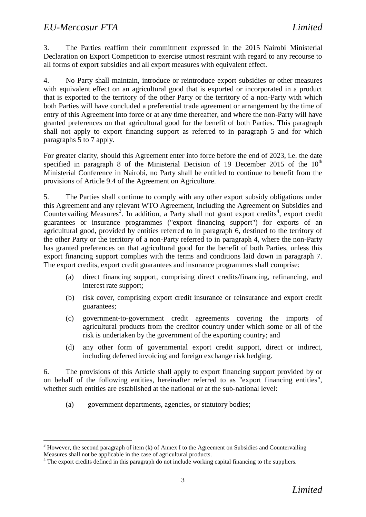l

3. The Parties reaffirm their commitment expressed in the 2015 Nairobi Ministerial Declaration on Export Competition to exercise utmost restraint with regard to any recourse to all forms of export subsidies and all export measures with equivalent effect*.* 

4. No Party shall maintain, introduce or reintroduce export subsidies or other measures with equivalent effect on an agricultural good that is exported or incorporated in a product that is exported to the territory of the other Party or the territory of a non-Party with which both Parties will have concluded a preferential trade agreement or arrangement by the time of entry of this Agreement into force or at any time thereafter, and where the non-Party will have granted preferences on that agricultural good for the benefit of both Parties. This paragraph shall not apply to export financing support as referred to in paragraph 5 and for which paragraphs 5 to 7 apply.

For greater clarity, should this Agreement enter into force before the end of 2023, i.e. the date specified in paragraph 8 of the Ministerial Decision of 19 December 2015 of the  $10<sup>th</sup>$ Ministerial Conference in Nairobi, no Party shall be entitled to continue to benefit from the provisions of Article 9.4 of the Agreement on Agriculture.

5. The Parties shall continue to comply with any other export subsidy obligations under this Agreement and any relevant WTO Agreement, including the Agreement on Subsidies and Countervailing Measures<sup>3</sup>. In addition, a Party shall not grant export credits<sup>4</sup>, export credit guarantees or insurance programmes ("export financing support") for exports of an agricultural good, provided by entities referred to in paragraph 6, destined to the territory of the other Party or the territory of a non-Party referred to in paragraph 4, where the non-Party has granted preferences on that agricultural good for the benefit of both Parties, unless this export financing support complies with the terms and conditions laid down in paragraph 7. The export credits, export credit guarantees and insurance programmes shall comprise:

- (a) direct financing support, comprising direct credits/financing, refinancing, and interest rate support;
- (b) risk cover, comprising export credit insurance or reinsurance and export credit guarantees;
- (c) government-to-government credit agreements covering the imports of agricultural products from the creditor country under which some or all of the risk is undertaken by the government of the exporting country; and
- (d) any other form of governmental export credit support, direct or indirect, including deferred invoicing and foreign exchange risk hedging.

6. The provisions of this Article shall apply to export financing support provided by or on behalf of the following entities, hereinafter referred to as "export financing entities", whether such entities are established at the national or at the sub-national level:

(a) government departments, agencies, or statutory bodies;

 $3$  However, the second paragraph of item (k) of Annex I to the Agreement on Subsidies and Countervailing Measures shall not be applicable in the case of agricultural products.

<sup>&</sup>lt;sup>4</sup> The export credits defined in this paragraph do not include working capital financing to the suppliers.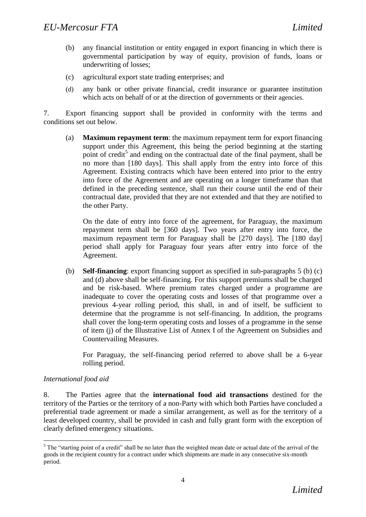- (b) any financial institution or entity engaged in export financing in which there is governmental participation by way of equity, provision of funds, loans or underwriting of losses;
- (c) agricultural export state trading enterprises; and
- (d) any bank or other private financial, credit insurance or guarantee institution which acts on behalf of or at the direction of governments or their agencies.

7. Export financing support shall be provided in conformity with the terms and conditions set out below.

(a) **Maximum repayment term**: the maximum repayment term for export financing support under this Agreement, this being the period beginning at the starting point of credit<sup>5</sup> and ending on the contractual date of the final payment, shall be no more than [180 days]. This shall apply from the entry into force of this Agreement. Existing contracts which have been entered into prior to the entry into force of the Agreement and are operating on a longer timeframe than that defined in the preceding sentence, shall run their course until the end of their contractual date, provided that they are not extended and that they are notified to the other Party.

On the date of entry into force of the agreement, for Paraguay, the maximum repayment term shall be [360 days]. Two years after entry into force, the maximum repayment term for Paraguay shall be [270 days]. The [180 day] period shall apply for Paraguay four years after entry into force of the Agreement.

(b) **Self-financing**: export financing support as specified in sub-paragraphs 5 (b) (c) and (d) above shall be self-financing. For this support premiums shall be charged and be risk-based. Where premium rates charged under a programme are inadequate to cover the operating costs and losses of that programme over a previous 4-year rolling period, this shall, in and of itself, be sufficient to determine that the programme is not self-financing. In addition, the programs shall cover the long-term operating costs and losses of a programme in the sense of item (j) of the Illustrative List of Annex I of the Agreement on Subsidies and Countervailing Measures.

For Paraguay, the self-financing period referred to above shall be a 6-year rolling period.

### *International food aid*

l

8. The Parties agree that the **international food aid transactions** destined for the territory of the Parties or the territory of a non-Party with which both Parties have concluded a preferential trade agreement or made a similar arrangement, as well as for the territory of a least developed country, shall be provided in cash and fully grant form with the exception of clearly defined emergency situations.

<sup>&</sup>lt;sup>5</sup> The "starting point of a credit" shall be no later than the weighted mean date or actual date of the arrival of the goods in the recipient country for a contract under which shipments are made in any consecutive six-month period.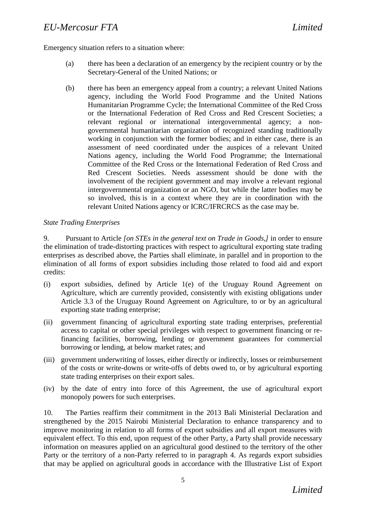# *EU-Mercosur FTA Limited*

Emergency situation refers to a situation where:

- (a) there has been a declaration of an emergency by the recipient country or by the Secretary-General of the United Nations; or
- (b) there has been an emergency appeal from a country; a relevant United Nations agency, including the World Food Programme and the United Nations Humanitarian Programme Cycle; the International Committee of the Red Cross or the International Federation of Red Cross and Red Crescent Societies; a relevant regional or international intergovernmental agency; a nongovernmental humanitarian organization of recognized standing traditionally working in conjunction with the former bodies; and in either case, there is an assessment of need coordinated under the auspices of a relevant United Nations agency, including the World Food Programme; the International Committee of the Red Cross or the International Federation of Red Cross and Red Crescent Societies. Needs assessment should be done with the involvement of the recipient government and may involve a relevant regional intergovernmental organization or an NGO, but while the latter bodies may be so involved, this is in a context where they are in coordination with the relevant United Nations agency or ICRC/IFRCRCS as the case may be.

### *State Trading Enterprises*

9. Pursuant to Article *[on STEs in the general text on Trade in Goods,]* in order to ensure the elimination of trade-distorting practices with respect to agricultural exporting state trading enterprises as described above, the Parties shall eliminate, in parallel and in proportion to the elimination of all forms of export subsidies including those related to food aid and export credits:

- (i) export subsidies, defined by Article 1(e) of the Uruguay Round Agreement on Agriculture, which are currently provided, consistently with existing obligations under Article 3.3 of the Uruguay Round Agreement on Agriculture, to or by an agricultural exporting state trading enterprise;
- (ii) government financing of agricultural exporting state trading enterprises, preferential access to capital or other special privileges with respect to government financing or refinancing facilities, borrowing, lending or government guarantees for commercial borrowing or lending, at below market rates; and
- (iii) government underwriting of losses, either directly or indirectly, losses or reimbursement of the costs or write-downs or write-offs of debts owed to, or by agricultural exporting state trading enterprises on their export sales.
- (iv) by the date of entry into force of this Agreement, the use of agricultural export monopoly powers for such enterprises.

10. The Parties reaffirm their commitment in the 2013 Bali Ministerial Declaration and strengthened by the 2015 Nairobi Ministerial Declaration to enhance transparency and to improve monitoring in relation to all forms of export subsidies and all export measures with equivalent effect. To this end, upon request of the other Party, a Party shall provide necessary information on measures applied on an agricultural good destined to the territory of the other Party or the territory of a non-Party referred to in paragraph 4. As regards export subsidies that may be applied on agricultural goods in accordance with the Illustrative List of Export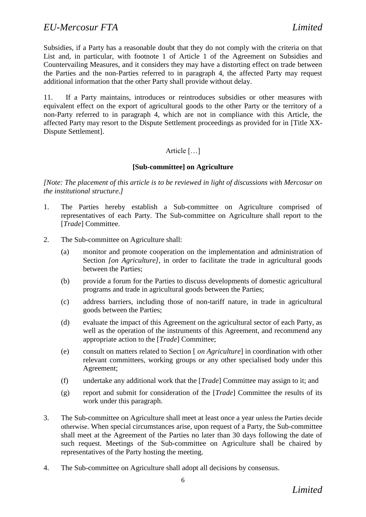Subsidies, if a Party has a reasonable doubt that they do not comply with the criteria on that List and, in particular, with footnote 1 of Article 1 of the Agreement on Subsidies and Countervailing Measures, and it considers they may have a distorting effect on trade between the Parties and the non-Parties referred to in paragraph 4, the affected Party may request additional information that the other Party shall provide without delay.

11. If a Party maintains, introduces or reintroduces subsidies or other measures with equivalent effect on the export of agricultural goods to the other Party or the territory of a non-Party referred to in paragraph 4, which are not in compliance with this Article, the affected Party may resort to the Dispute Settlement proceedings as provided for in [Title XX-Dispute Settlement].

# Article […]

### **[Sub-committee] on Agriculture**

*[Note: The placement of this article is to be reviewed in light of discussions with Mercosur on the institutional structure.]*

- 1. The Parties hereby establish a Sub-committee on Agriculture comprised of representatives of each Party. The Sub-committee on Agriculture shall report to the [*Trade*] Committee.
- 2. The Sub-committee on Agriculture shall:
	- (a) monitor and promote cooperation on the implementation and administration of Section *[on Agriculture]*, in order to facilitate the trade in agricultural goods between the Parties;
	- (b) provide a forum for the Parties to discuss developments of domestic agricultural programs and trade in agricultural goods between the Parties;
	- (c) address barriers, including those of non-tariff nature, in trade in agricultural goods between the Parties;
	- (d) evaluate the impact of this Agreement on the agricultural sector of each Party, as well as the operation of the instruments of this Agreement, and recommend any appropriate action to the [*Trade*] Committee;
	- (e) consult on matters related to Section [ *on Agriculture*] in coordination with other relevant committees, working groups or any other specialised body under this Agreement;
	- (f) undertake any additional work that the [*Trade*] Committee may assign to it; and
	- (g) report and submit for consideration of the [*Trade*] Committee the results of its work under this paragraph.
- 3. The Sub-committee on Agriculture shall meet at least once a year unless the Parties decide otherwise. When special circumstances arise, upon request of a Party, the Sub-committee shall meet at the Agreement of the Parties no later than 30 days following the date of such request. Meetings of the Sub-committee on Agriculture shall be chaired by representatives of the Party hosting the meeting.
- 4. The Sub-committee on Agriculture shall adopt all decisions by consensus.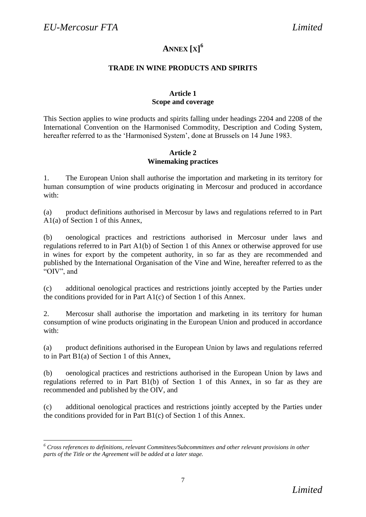$\overline{\phantom{a}}$ 

# **ANNEX [X] 6**

## **TRADE IN WINE PRODUCTS AND SPIRITS**

### **Article 1 Scope and coverage**

This Section applies to wine products and spirits falling under headings 2204 and 2208 of the International Convention on the Harmonised Commodity, Description and Coding System, hereafter referred to as the 'Harmonised System', done at Brussels on 14 June 1983.

### **Article 2 Winemaking practices**

1. The European Union shall authorise the importation and marketing in its territory for human consumption of wine products originating in Mercosur and produced in accordance with:

(a) product definitions authorised in Mercosur by laws and regulations referred to in Part A1(a) of Section 1 of this Annex,

(b) oenological practices and restrictions authorised in Mercosur under laws and regulations referred to in Part A1(b) of Section 1 of this Annex or otherwise approved for use in wines for export by the competent authority, in so far as they are recommended and published by the International Organisation of the Vine and Wine, hereafter referred to as the "OIV", and

(c) additional oenological practices and restrictions jointly accepted by the Parties under the conditions provided for in Part A1(c) of Section 1 of this Annex.

2. Mercosur shall authorise the importation and marketing in its territory for human consumption of wine products originating in the European Union and produced in accordance with:

(a) product definitions authorised in the European Union by laws and regulations referred to in Part B1(a) of Section 1 of this Annex,

(b) oenological practices and restrictions authorised in the European Union by laws and regulations referred to in Part B1(b) of Section 1 of this Annex, in so far as they are recommended and published by the OIV, and

(c) additional oenological practices and restrictions jointly accepted by the Parties under the conditions provided for in Part B1(c) of Section 1 of this Annex.

*<sup>6</sup> Cross references to definitions, relevant Committees/Subcommittees and other relevant provisions in other parts of the Title or the Agreement will be added at a later stage.*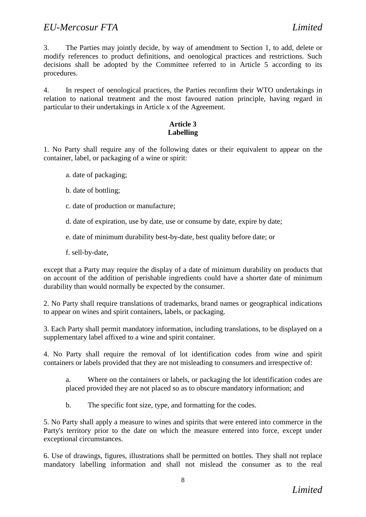3. The Parties may jointly decide, by way of amendment to Section 1, to add, delete or modify references to product definitions, and oenological practices and restrictions. Such decisions shall be adopted by the Committee referred to in Article 5 according to its procedures.

4. In respect of oenological practices, the Parties reconfirm their WTO undertakings in relation to national treatment and the most favoured nation principle, having regard in particular to their undertakings in Article x of the Agreement.

## **Article 3 Labelling**

1. No Party shall require any of the following dates or their equivalent to appear on the container, label, or packaging of a wine or spirit:

- a. date of packaging;
- b. date of bottling;
- c. date of production or manufacture;
- d. date of expiration, use by date, use or consume by date, expire by date;
- e. date of minimum durability best-by-date, best quality before date; or
- f. sell-by-date,

except that a Party may require the display of a date of minimum durability on products that on account of the addition of perishable ingredients could have a shorter date of minimum durability than would normally be expected by the consumer.

2. No Party shall require translations of trademarks, brand names or geographical indications to appear on wines and spirit containers, labels, or packaging.

3. Each Party shall permit mandatory information, including translations, to be displayed on a supplementary label affixed to a wine and spirit container.

4. No Party shall require the removal of lot identification codes from wine and spirit containers or labels provided that they are not misleading to consumers and irrespective of:

a. Where on the containers or labels, or packaging the lot identification codes are placed provided they are not placed so as to obscure mandatory information; and

b. The specific font size, type, and formatting for the codes.

5. No Party shall apply a measure to wines and spirits that were entered into commerce in the Party's territory prior to the date on which the measure entered into force, except under exceptional circumstances.

6. Use of drawings, figures, illustrations shall be permitted on bottles. They shall not replace mandatory labelling information and shall not mislead the consumer as to the real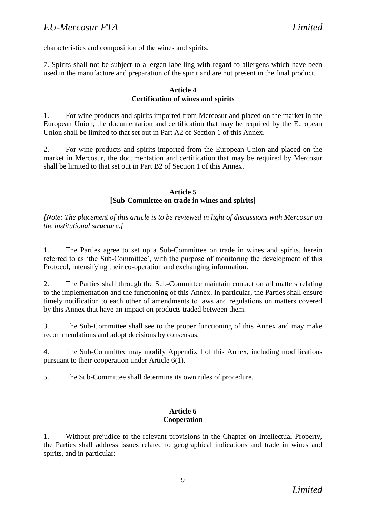# *EU-Mercosur FTA Limited*

characteristics and composition of the wines and spirits.

7. Spirits shall not be subject to allergen labelling with regard to allergens which have been used in the manufacture and preparation of the spirit and are not present in the final product.

#### **Article 4 Certification of wines and spirits**

1. For wine products and spirits imported from Mercosur and placed on the market in the European Union, the documentation and certification that may be required by the European Union shall be limited to that set out in Part A2 of Section 1 of this Annex.

2. For wine products and spirits imported from the European Union and placed on the market in Mercosur, the documentation and certification that may be required by Mercosur shall be limited to that set out in Part B2 of Section 1 of this Annex.

### **Article 5 [Sub-Committee on trade in wines and spirits]**

*[Note: The placement of this article is to be reviewed in light of discussions with Mercosur on the institutional structure.]*

1. The Parties agree to set up a Sub-Committee on trade in wines and spirits, herein referred to as 'the Sub-Committee', with the purpose of monitoring the development of this Protocol, intensifying their co-operation and exchanging information.

2. The Parties shall through the Sub-Committee maintain contact on all matters relating to the implementation and the functioning of this Annex. In particular, the Parties shall ensure timely notification to each other of amendments to laws and regulations on matters covered by this Annex that have an impact on products traded between them.

3. The Sub-Committee shall see to the proper functioning of this Annex and may make recommendations and adopt decisions by consensus.

4. The Sub-Committee may modify Appendix I of this Annex, including modifications pursuant to their cooperation under Article 6(1).

5. The Sub-Committee shall determine its own rules of procedure.

### **Article 6 Cooperation**

1. Without prejudice to the relevant provisions in the Chapter on Intellectual Property, the Parties shall address issues related to geographical indications and trade in wines and spirits, and in particular: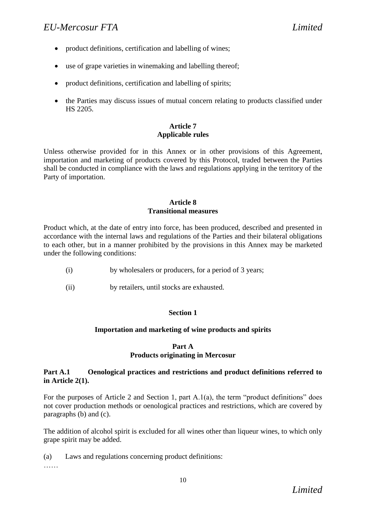- product definitions, certification and labelling of wines;
- use of grape varieties in winemaking and labelling thereof;
- product definitions, certification and labelling of spirits;
- the Parties may discuss issues of mutual concern relating to products classified under HS 2205.

## **Article 7 Applicable rules**

Unless otherwise provided for in this Annex or in other provisions of this Agreement, importation and marketing of products covered by this Protocol, traded between the Parties shall be conducted in compliance with the laws and regulations applying in the territory of the Party of importation.

### **Article 8 Transitional measures**

Product which, at the date of entry into force, has been produced, described and presented in accordance with the internal laws and regulations of the Parties and their bilateral obligations to each other, but in a manner prohibited by the provisions in this Annex may be marketed under the following conditions:

- (i) by wholesalers or producers, for a period of 3 years;
- (ii) by retailers, until stocks are exhausted.

### **Section 1**

### **Importation and marketing of wine products and spirits**

#### **Part A**

#### **Products originating in Mercosur**

### **Part A.1 Oenological practices and restrictions and product definitions referred to in Article 2(1).**

For the purposes of Article 2 and Section 1, part A.1(a), the term "product definitions" does not cover production methods or oenological practices and restrictions, which are covered by paragraphs (b) and (c).

The addition of alcohol spirit is excluded for all wines other than liqueur wines, to which only grape spirit may be added.

(a) Laws and regulations concerning product definitions:

……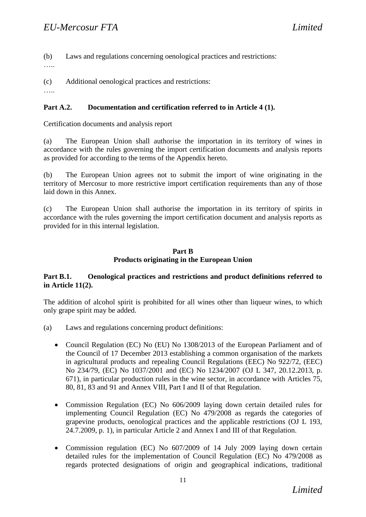(b) Laws and regulations concerning oenological practices and restrictions:

……

(c) Additional oenological practices and restrictions:

……

# **Part A.2. Documentation and certification referred to in Article 4 (1).**

Certification documents and analysis report

(a) The European Union shall authorise the importation in its territory of wines in accordance with the rules governing the import certification documents and analysis reports as provided for according to the terms of the Appendix hereto.

(b) The European Union agrees not to submit the import of wine originating in the territory of Mercosur to more restrictive import certification requirements than any of those laid down in this Annex.

(c) The European Union shall authorise the importation in its territory of spirits in accordance with the rules governing the import certification document and analysis reports as provided for in this internal legislation.

## **Part B Products originating in the European Union**

## **Part B.1. Oenological practices and restrictions and product definitions referred to in Article 11(2).**

The addition of alcohol spirit is prohibited for all wines other than liqueur wines, to which only grape spirit may be added.

- (a) Laws and regulations concerning product definitions:
	- Council Regulation (EC) No (EU) No 1308/2013 of the European Parliament and of the Council of 17 December 2013 establishing a common organisation of the markets in agricultural products and repealing Council Regulations (EEC) No 922/72, (EEC) No 234/79, (EC) No 1037/2001 and (EC) No 1234/2007 (OJ L 347, 20.12.2013, p. 671), in particular production rules in the wine sector, in accordance with Articles 75, 80, 81, 83 and 91 and Annex VIII, Part I and II of that Regulation.
	- Commission Regulation (EC) No 606/2009 laying down certain detailed rules for implementing Council Regulation (EC) No 479/2008 as regards the categories of grapevine products, oenological practices and the applicable restrictions (OJ L 193, 24.7.2009, p. 1), in particular Article 2 and Annex I and III of that Regulation.
	- Commission regulation (EC) No 607/2009 of 14 July 2009 laying down certain detailed rules for the implementation of Council Regulation (EC) No 479/2008 as regards protected designations of origin and geographical indications, traditional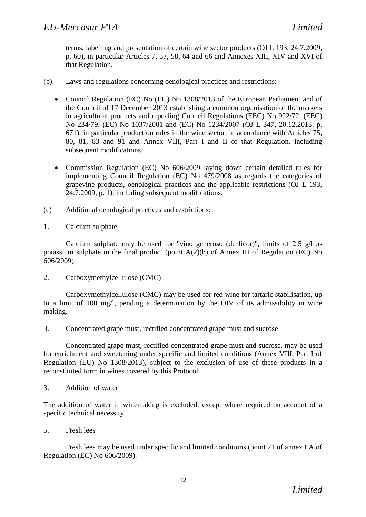terms, labelling and presentation of certain wine sector products (OJ L 193, 24.7.2009, p. 60), in particular Articles 7, 57, 58, 64 and 66 and Annexes XIII, XIV and XVI of that Regulation.

- (b) Laws and regulations concerning oenological practices and restrictions:
	- Council Regulation (EC) No (EU) No 1308/2013 of the European Parliament and of the Council of 17 December 2013 establishing a common organisation of the markets in agricultural products and repealing Council Regulations (EEC) No 922/72, (EEC) No 234/79, (EC) No 1037/2001 and (EC) No 1234/2007 (OJ L 347, 20.12.2013, p. 671), in particular production rules in the wine sector, in accordance with Articles 75, 80, 81, 83 and 91 and Annex VIII, Part I and II of that Regulation, including subsequent modifications.
	- Commission Regulation (EC) No 606/2009 laying down certain detailed rules for implementing Council Regulation (EC) No 479/2008 as regards the categories of grapevine products, oenological practices and the applicable restrictions (OJ L 193, 24.7.2009, p. 1), including subsequent modifications.
- (c) Additional oenological practices and restrictions:
- 1. Calcium sulphate

Calcium sulphate may be used for "vino generoso (de licor)", limits of 2.5 g/l as potassium sulphate in the final product (point A(2)(b) of Annex III of Regulation (EC) No 606/2009).

2. Carboxymethylcellulose (CMC)

Carboxymethylcellulose (CMC) may be used for red wine for tartaric stabilisation, up to a limit of 100 mg/l, pending a determination by the OIV of its admissibility in wine making.

3. Concentrated grape must, rectified concentrated grape must and sucrose

Concentrated grape must, rectified concentrated grape must and sucrose, may be used for enrichment and sweetening under specific and limited conditions (Annex VIII, Part I of Regulation (EU) No 1308/2013), subject to the exclusion of use of these products in a reconstituted form in wines covered by this Protocol.

3. Addition of water

The addition of water in winemaking is excluded, except where required on account of a specific technical necessity.

5. Fresh lees

Fresh lees may be used under specific and limited conditions (point 21 of annex I A of Regulation (EC) No 606/2009).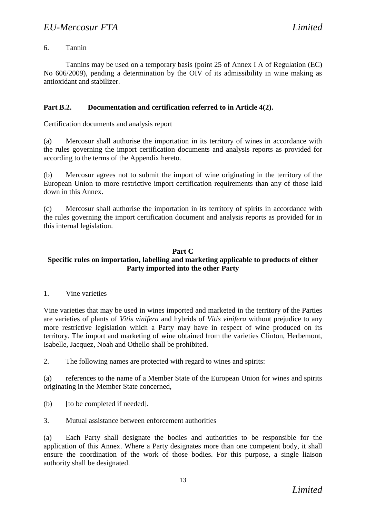## 6. Tannin

Tannins may be used on a temporary basis (point 25 of Annex I A of Regulation (EC) No 606/2009), pending a determination by the OIV of its admissibility in wine making as antioxidant and stabilizer.

## **Part B.2. Documentation and certification referred to in Article 4(2).**

Certification documents and analysis report

(a) Mercosur shall authorise the importation in its territory of wines in accordance with the rules governing the import certification documents and analysis reports as provided for according to the terms of the Appendix hereto.

(b) Mercosur agrees not to submit the import of wine originating in the territory of the European Union to more restrictive import certification requirements than any of those laid down in this Annex.

(c) Mercosur shall authorise the importation in its territory of spirits in accordance with the rules governing the import certification document and analysis reports as provided for in this internal legislation.

### **Part C**

### **Specific rules on importation, labelling and marketing applicable to products of either Party imported into the other Party**

1. Vine varieties

Vine varieties that may be used in wines imported and marketed in the territory of the Parties are varieties of plants of *Vitis vinifera* and hybrids of *Vitis vinifera* without prejudice to any more restrictive legislation which a Party may have in respect of wine produced on its territory. The import and marketing of wine obtained from the varieties Clinton, Herbemont, Isabelle, Jacquez, Noah and Othello shall be prohibited.

2. The following names are protected with regard to wines and spirits:

(a) references to the name of a Member State of the European Union for wines and spirits originating in the Member State concerned,

(b) [to be completed if needed].

3. Mutual assistance between enforcement authorities

(a) Each Party shall designate the bodies and authorities to be responsible for the application of this Annex. Where a Party designates more than one competent body, it shall ensure the coordination of the work of those bodies. For this purpose, a single liaison authority shall be designated.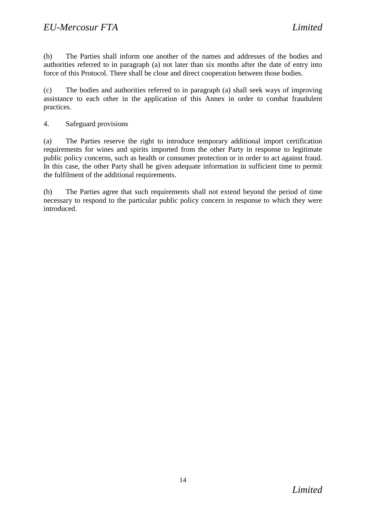(b) The Parties shall inform one another of the names and addresses of the bodies and authorities referred to in paragraph (a) not later than six months after the date of entry into force of this Protocol. There shall be close and direct cooperation between those bodies.

(c) The bodies and authorities referred to in paragraph (a) shall seek ways of improving assistance to each other in the application of this Annex in order to combat fraudulent practices.

4. Safeguard provisions

(a) The Parties reserve the right to introduce temporary additional import certification requirements for wines and spirits imported from the other Party in response to legitimate public policy concerns, such as health or consumer protection or in order to act against fraud. In this case, the other Party shall be given adequate information in sufficient time to permit the fulfilment of the additional requirements.

(b) The Parties agree that such requirements shall not extend beyond the period of time necessary to respond to the particular public policy concern in response to which they were introduced.